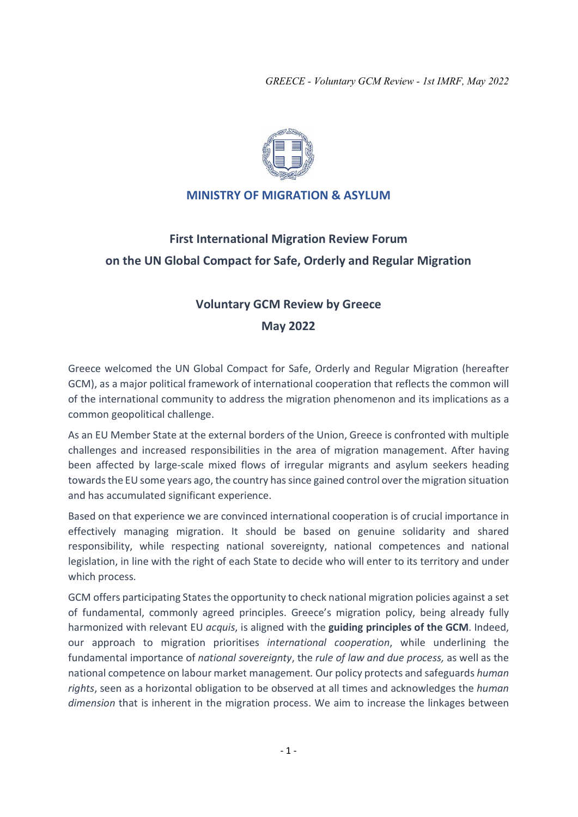

## MINISTRY OF MIGRATION & ASYLUM

# First International Migration Review Forum on the UN Global Compact for Safe, Orderly and Regular Migration

## Voluntary GCM Review by Greece May 2022

Greece welcomed the UN Global Compact for Safe, Orderly and Regular Migration (hereafter GCM), as a major political framework of international cooperation that reflects the common will of the international community to address the migration phenomenon and its implications as a common geopolitical challenge.

As an EU Member State at the external borders of the Union, Greece is confronted with multiple challenges and increased responsibilities in the area of migration management. After having been affected by large-scale mixed flows of irregular migrants and asylum seekers heading towards the EU some years ago, the country has since gained control over the migration situation and has accumulated significant experience.

Based on that experience we are convinced international cooperation is of crucial importance in effectively managing migration. It should be based on genuine solidarity and shared responsibility, while respecting national sovereignty, national competences and national legislation, in line with the right of each State to decide who will enter to its territory and under which process.

GCM offers participating States the opportunity to check national migration policies against a set of fundamental, commonly agreed principles. Greece's migration policy, being already fully harmonized with relevant EU acquis, is aligned with the guiding principles of the GCM. Indeed, our approach to migration prioritises international cooperation, while underlining the fundamental importance of national sovereignty, the rule of law and due process, as well as the national competence on labour market management. Our policy protects and safeguards human rights, seen as a horizontal obligation to be observed at all times and acknowledges the human dimension that is inherent in the migration process. We aim to increase the linkages between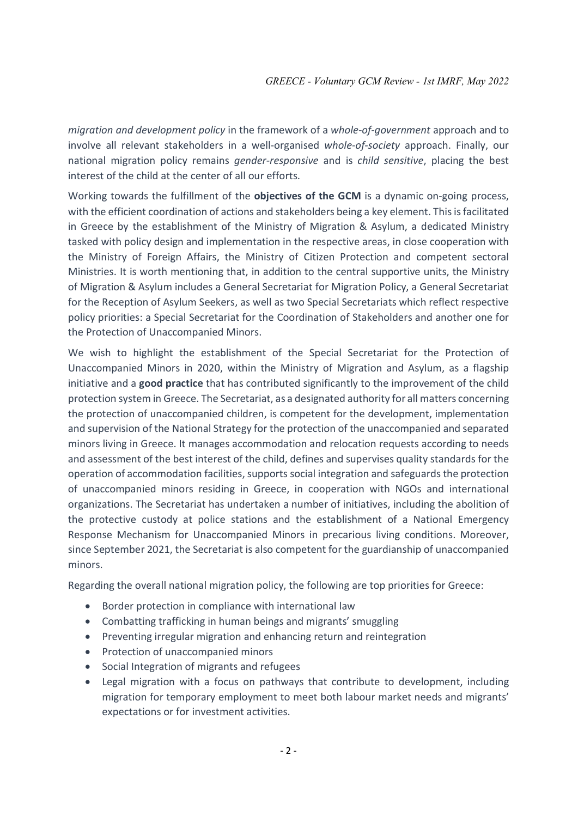migration and development policy in the framework of a whole-of-government approach and to involve all relevant stakeholders in a well-organised whole-of-society approach. Finally, our national migration policy remains gender-responsive and is child sensitive, placing the best interest of the child at the center of all our efforts.

Working towards the fulfillment of the objectives of the GCM is a dynamic on-going process, with the efficient coordination of actions and stakeholders being a key element. This is facilitated in Greece by the establishment of the Ministry of Migration & Asylum, a dedicated Ministry tasked with policy design and implementation in the respective areas, in close cooperation with the Ministry of Foreign Affairs, the Ministry of Citizen Protection and competent sectoral Ministries. It is worth mentioning that, in addition to the central supportive units, the Ministry of Migration & Asylum includes a General Secretariat for Migration Policy, a General Secretariat for the Reception of Asylum Seekers, as well as two Special Secretariats which reflect respective policy priorities: a Special Secretariat for the Coordination of Stakeholders and another one for the Protection of Unaccompanied Minors.

We wish to highlight the establishment of the Special Secretariat for the Protection of Unaccompanied Minors in 2020, within the Ministry of Migration and Asylum, as a flagship initiative and a **good practice** that has contributed significantly to the improvement of the child protection system in Greece. The Secretariat, as a designated authority for all matters concerning the protection of unaccompanied children, is competent for the development, implementation and supervision of the National Strategy for the protection of the unaccompanied and separated minors living in Greece. It manages accommodation and relocation requests according to needs and assessment of the best interest of the child, defines and supervises quality standards for the operation of accommodation facilities, supports social integration and safeguards the protection of unaccompanied minors residing in Greece, in cooperation with NGOs and international organizations. The Secretariat has undertaken a number of initiatives, including the abolition of the protective custody at police stations and the establishment of a National Emergency Response Mechanism for Unaccompanied Minors in precarious living conditions. Moreover, since September 2021, the Secretariat is also competent for the guardianship of unaccompanied minors.

Regarding the overall national migration policy, the following are top priorities for Greece:

- Border protection in compliance with international law
- Combatting trafficking in human beings and migrants' smuggling
- Preventing irregular migration and enhancing return and reintegration
- Protection of unaccompanied minors
- Social Integration of migrants and refugees
- Legal migration with a focus on pathways that contribute to development, including migration for temporary employment to meet both labour market needs and migrants' expectations or for investment activities.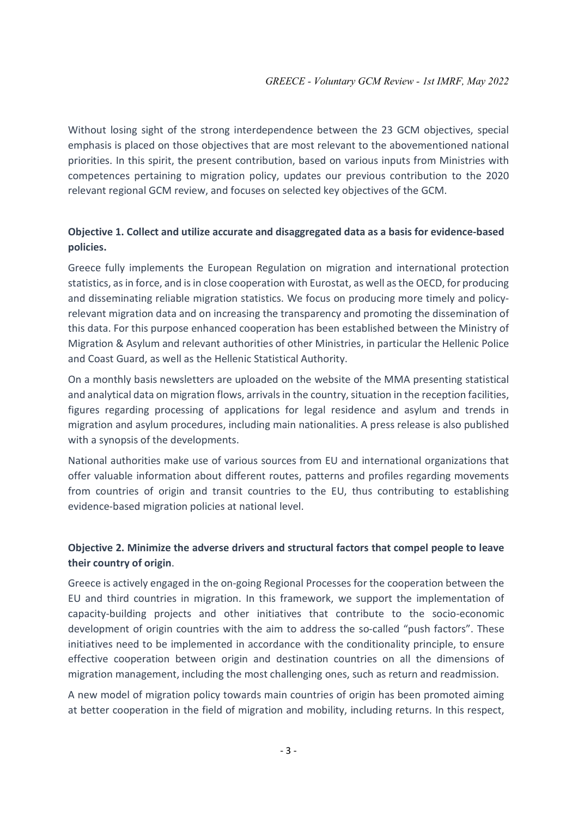Without losing sight of the strong interdependence between the 23 GCM objectives, special emphasis is placed on those objectives that are most relevant to the abovementioned national priorities. In this spirit, the present contribution, based on various inputs from Ministries with competences pertaining to migration policy, updates our previous contribution to the 2020 relevant regional GCM review, and focuses on selected key objectives of the GCM.

## Objective 1. Collect and utilize accurate and disaggregated data as a basis for evidence-based policies.

Greece fully implements the European Regulation on migration and international protection statistics, as in force, and is in close cooperation with Eurostat, as well as the OECD, for producing and disseminating reliable migration statistics. We focus on producing more timely and policyrelevant migration data and on increasing the transparency and promoting the dissemination of this data. For this purpose enhanced cooperation has been established between the Ministry of Migration & Asylum and relevant authorities of other Ministries, in particular the Hellenic Police and Coast Guard, as well as the Hellenic Statistical Authority.

On a monthly basis newsletters are uploaded on the website of the MMA presenting statistical and analytical data on migration flows, arrivals in the country, situation in the reception facilities, figures regarding processing of applications for legal residence and asylum and trends in migration and asylum procedures, including main nationalities. A press release is also published with a synopsis of the developments.

National authorities make use of various sources from EU and international organizations that offer valuable information about different routes, patterns and profiles regarding movements from countries of origin and transit countries to the EU, thus contributing to establishing evidence-based migration policies at national level.

## Objective 2. Minimize the adverse drivers and structural factors that compel people to leave their country of origin.

Greece is actively engaged in the on-going Regional Processes for the cooperation between the EU and third countries in migration. In this framework, we support the implementation of capacity-building projects and other initiatives that contribute to the socio-economic development of origin countries with the aim to address the so-called "push factors". These initiatives need to be implemented in accordance with the conditionality principle, to ensure effective cooperation between origin and destination countries on all the dimensions of migration management, including the most challenging ones, such as return and readmission.

A new model of migration policy towards main countries of origin has been promoted aiming at better cooperation in the field of migration and mobility, including returns. In this respect,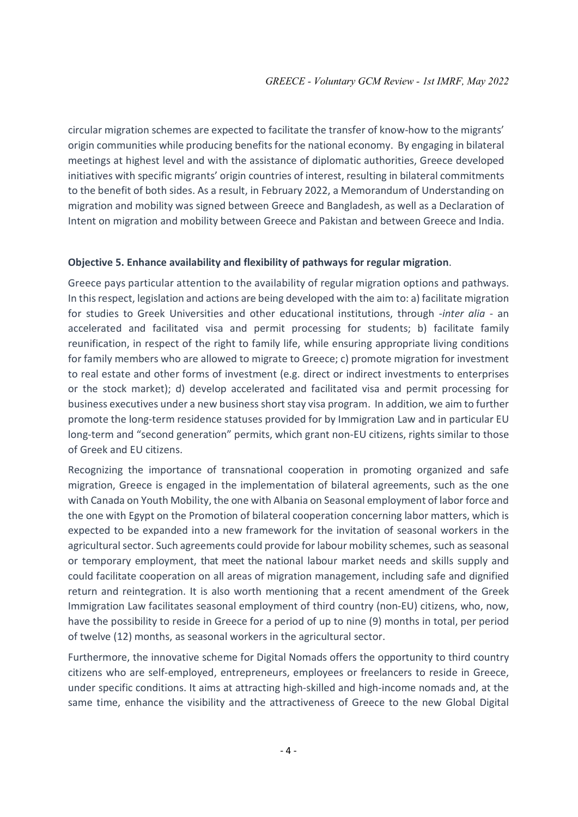circular migration schemes are expected to facilitate the transfer of know-how to the migrants' origin communities while producing benefits for the national economy. By engaging in bilateral meetings at highest level and with the assistance of diplomatic authorities, Greece developed initiatives with specific migrants' origin countries of interest, resulting in bilateral commitments to the benefit of both sides. As a result, in February 2022, a Memorandum of Understanding on migration and mobility was signed between Greece and Bangladesh, as well as a Declaration of Intent on migration and mobility between Greece and Pakistan and between Greece and India.

#### Objective 5. Enhance availability and flexibility of pathways for regular migration.

Greece pays particular attention to the availability of regular migration options and pathways. In this respect, legislation and actions are being developed with the aim to: a) facilitate migration for studies to Greek Universities and other educational institutions, through -inter alia - an accelerated and facilitated visa and permit processing for students; b) facilitate family reunification, in respect of the right to family life, while ensuring appropriate living conditions for family members who are allowed to migrate to Greece; c) promote migration for investment to real estate and other forms of investment (e.g. direct or indirect investments to enterprises or the stock market); d) develop accelerated and facilitated visa and permit processing for business executives under a new business short stay visa program. In addition, we aim to further promote the long-term residence statuses provided for by Immigration Law and in particular EU long-term and "second generation" permits, which grant non-EU citizens, rights similar to those of Greek and EU citizens.

Recognizing the importance of transnational cooperation in promoting organized and safe migration, Greece is engaged in the implementation of bilateral agreements, such as the one with Canada on Youth Mobility, the one with Albania on Seasonal employment of labor force and the one with Egypt on the Promotion of bilateral cooperation concerning labor matters, which is expected to be expanded into a new framework for the invitation of seasonal workers in the agricultural sector. Such agreements could provide for labour mobility schemes, such as seasonal or temporary employment, that meet the national labour market needs and skills supply and could facilitate cooperation on all areas of migration management, including safe and dignified return and reintegration. It is also worth mentioning that a recent amendment of the Greek Immigration Law facilitates seasonal employment of third country (non-EU) citizens, who, now, have the possibility to reside in Greece for a period of up to nine (9) months in total, per period of twelve (12) months, as seasonal workers in the agricultural sector.

Furthermore, the innovative scheme for Digital Nomads offers the opportunity to third country citizens who are self-employed, entrepreneurs, employees or freelancers to reside in Greece, under specific conditions. It aims at attracting high-skilled and high-income nomads and, at the same time, enhance the visibility and the attractiveness of Greece to the new Global Digital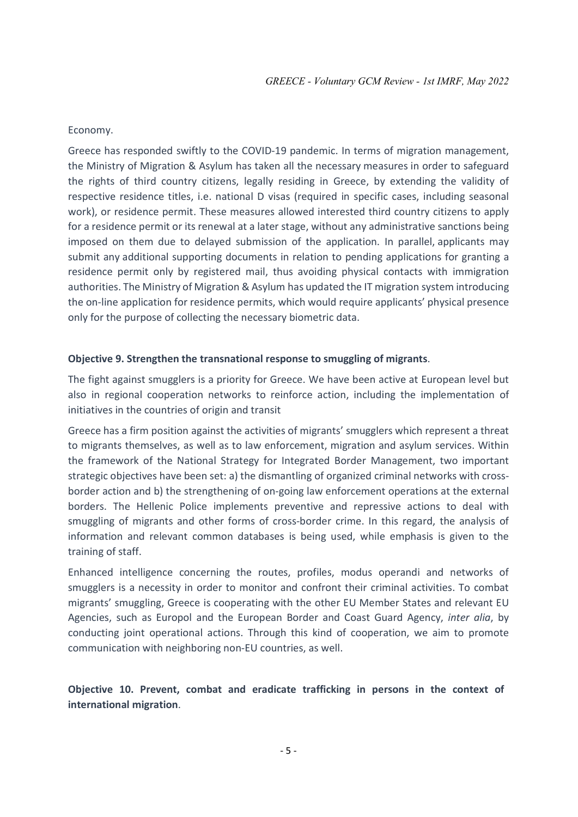#### Economy.

Greece has responded swiftly to the COVID-19 pandemic. In terms of migration management, the Ministry of Migration & Asylum has taken all the necessary measures in order to safeguard the rights of third country citizens, legally residing in Greece, by extending the validity of respective residence titles, i.e. national D visas (required in specific cases, including seasonal work), or residence permit. These measures allowed interested third country citizens to apply for a residence permit or its renewal at a later stage, without any administrative sanctions being imposed on them due to delayed submission of the application. In parallel, applicants may submit any additional supporting documents in relation to pending applications for granting a residence permit only by registered mail, thus avoiding physical contacts with immigration authorities. The Ministry of Migration & Asylum has updated the IT migration system introducing the on-line application for residence permits, which would require applicants' physical presence only for the purpose of collecting the necessary biometric data.

#### Objective 9. Strengthen the transnational response to smuggling of migrants.

The fight against smugglers is a priority for Greece. We have been active at European level but also in regional cooperation networks to reinforce action, including the implementation of initiatives in the countries of origin and transit

Greece has a firm position against the activities of migrants' smugglers which represent a threat to migrants themselves, as well as to law enforcement, migration and asylum services. Within the framework of the National Strategy for Integrated Border Management, two important strategic objectives have been set: a) the dismantling of organized criminal networks with crossborder action and b) the strengthening of on-going law enforcement operations at the external borders. The Hellenic Police implements preventive and repressive actions to deal with smuggling of migrants and other forms of cross-border crime. In this regard, the analysis of information and relevant common databases is being used, while emphasis is given to the training of staff.

Enhanced intelligence concerning the routes, profiles, modus operandi and networks of smugglers is a necessity in order to monitor and confront their criminal activities. To combat migrants' smuggling, Greece is cooperating with the other EU Member States and relevant EU Agencies, such as Europol and the European Border and Coast Guard Agency, inter alia, by conducting joint operational actions. Through this kind of cooperation, we aim to promote communication with neighboring non-EU countries, as well.

Objective 10. Prevent, combat and eradicate trafficking in persons in the context of international migration.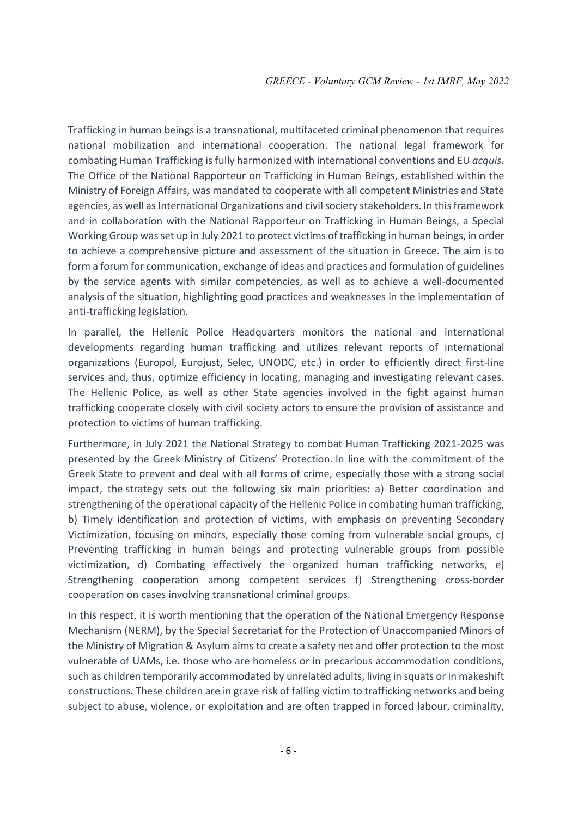Trafficking in human beings is a transnational, multifaceted criminal phenomenon that requires national mobilization and international cooperation. The national legal framework for combating Human Trafficking is fully harmonized with international conventions and EU acquis. The Office of the National Rapporteur on Trafficking in Human Beings, established within the Ministry of Foreign Affairs, was mandated to cooperate with all competent Ministries and State agencies, as well as International Organizations and civil society stakeholders. In this framework and in collaboration with the National Rapporteur on Trafficking in Human Beings, a Special Working Group was set up in July 2021 to protect victims of trafficking in human beings, in order to achieve a comprehensive picture and assessment of the situation in Greece. The aim is to form a forum for communication, exchange of ideas and practices and formulation of guidelines by the service agents with similar competencies, as well as to achieve a well-documented analysis of the situation, highlighting good practices and weaknesses in the implementation of anti-trafficking legislation.

In parallel, the Hellenic Police Headquarters monitors the national and international developments regarding human trafficking and utilizes relevant reports of international organizations (Europol, Eurojust, Selec, UNODC, etc.) in order to efficiently direct first-line services and, thus, optimize efficiency in locating, managing and investigating relevant cases. The Hellenic Police, as well as other State agencies involved in the fight against human trafficking cooperate closely with civil society actors to ensure the provision of assistance and protection to victims of human trafficking.

Furthermore, in July 2021 the National Strategy to combat Human Trafficking 2021-2025 was presented by the Greek Ministry of Citizens' Protection. In line with the commitment of the Greek State to prevent and deal with all forms of crime, especially those with a strong social impact, the strategy sets out the following six main priorities: a) Better coordination and strengthening of the operational capacity of the Hellenic Police in combating human trafficking, b) Timely identification and protection of victims, with emphasis on preventing Secondary Victimization, focusing on minors, especially those coming from vulnerable social groups, c) Preventing trafficking in human beings and protecting vulnerable groups from possible victimization, d) Combating effectively the organized human trafficking networks, e) Strengthening cooperation among competent services f) Strengthening cross-border cooperation on cases involving transnational criminal groups.

In this respect, it is worth mentioning that the operation of the National Emergency Response Mechanism (NERM), by the Special Secretariat for the Protection of Unaccompanied Minors of the Ministry of Migration & Asylum aims to create a safety net and offer protection to the most vulnerable of UAMs, i.e. those who are homeless or in precarious accommodation conditions, such as children temporarily accommodated by unrelated adults, living in squats or in makeshift constructions. These children are in grave risk of falling victim to trafficking networks and being subject to abuse, violence, or exploitation and are often trapped in forced labour, criminality,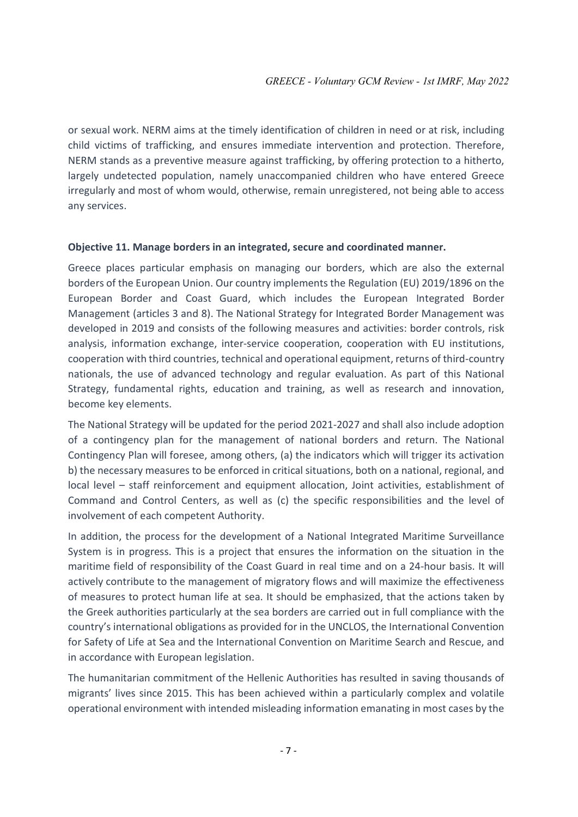or sexual work. NERM aims at the timely identification of children in need or at risk, including child victims of trafficking, and ensures immediate intervention and protection. Therefore, NERM stands as a preventive measure against trafficking, by offering protection to a hitherto, largely undetected population, namely unaccompanied children who have entered Greece irregularly and most of whom would, otherwise, remain unregistered, not being able to access any services.

#### Objective 11. Manage borders in an integrated, secure and coordinated manner.

Greece places particular emphasis on managing our borders, which are also the external borders of the European Union. Our country implements the Regulation (EU) 2019/1896 on the European Border and Coast Guard, which includes the European Integrated Border Management (articles 3 and 8). The National Strategy for Integrated Border Management was developed in 2019 and consists of the following measures and activities: border controls, risk analysis, information exchange, inter-service cooperation, cooperation with EU institutions, cooperation with third countries, technical and operational equipment, returns of third-country nationals, the use of advanced technology and regular evaluation. As part of this National Strategy, fundamental rights, education and training, as well as research and innovation, become key elements.

The National Strategy will be updated for the period 2021-2027 and shall also include adoption of a contingency plan for the management of national borders and return. The National Contingency Plan will foresee, among others, (a) the indicators which will trigger its activation b) the necessary measures to be enforced in critical situations, both on a national, regional, and local level – staff reinforcement and equipment allocation, Joint activities, establishment of Command and Control Centers, as well as (c) the specific responsibilities and the level of involvement of each competent Authority.

In addition, the process for the development of a National Integrated Maritime Surveillance System is in progress. This is a project that ensures the information on the situation in the maritime field of responsibility of the Coast Guard in real time and on a 24-hour basis. It will actively contribute to the management of migratory flows and will maximize the effectiveness of measures to protect human life at sea. It should be emphasized, that the actions taken by the Greek authorities particularly at the sea borders are carried out in full compliance with the country's international obligations as provided for in the UNCLOS, the International Convention for Safety of Life at Sea and the International Convention on Maritime Search and Rescue, and in accordance with European legislation.

The humanitarian commitment of the Hellenic Authorities has resulted in saving thousands of migrants' lives since 2015. This has been achieved within a particularly complex and volatile operational environment with intended misleading information emanating in most cases by the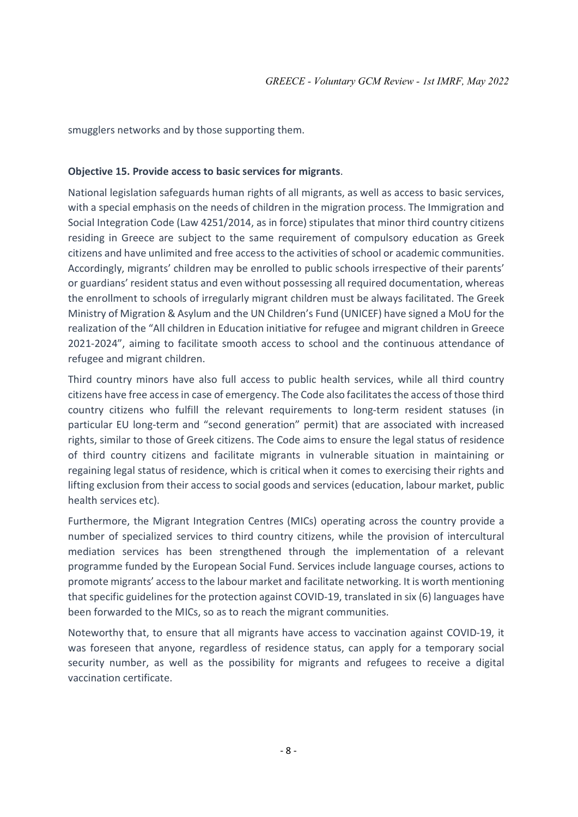smugglers networks and by those supporting them.

#### Objective 15. Provide access to basic services for migrants.

National legislation safeguards human rights of all migrants, as well as access to basic services, with a special emphasis on the needs of children in the migration process. The Immigration and Social Integration Code (Law 4251/2014, as in force) stipulates that minor third country citizens residing in Greece are subject to the same requirement of compulsory education as Greek citizens and have unlimited and free access to the activities of school or academic communities. Accordingly, migrants' children may be enrolled to public schools irrespective of their parents' or guardians' resident status and even without possessing all required documentation, whereas the enrollment to schools of irregularly migrant children must be always facilitated. The Greek Ministry of Migration & Asylum and the UN Children's Fund (UNICEF) have signed a MoU for the realization of the "All children in Education initiative for refugee and migrant children in Greece 2021-2024", aiming to facilitate smooth access to school and the continuous attendance of refugee and migrant children.

Third country minors have also full access to public health services, while all third country citizens have free access in case of emergency. The Code also facilitates the access of those third country citizens who fulfill the relevant requirements to long-term resident statuses (in particular EU long-term and "second generation" permit) that are associated with increased rights, similar to those of Greek citizens. The Code aims to ensure the legal status of residence of third country citizens and facilitate migrants in vulnerable situation in maintaining or regaining legal status of residence, which is critical when it comes to exercising their rights and lifting exclusion from their access to social goods and services (education, labour market, public health services etc).

Furthermore, the Migrant Integration Centres (MICs) operating across the country provide a number of specialized services to third country citizens, while the provision of intercultural mediation services has been strengthened through the implementation of a relevant programme funded by the European Social Fund. Services include language courses, actions to promote migrants' access to the labour market and facilitate networking. It is worth mentioning that specific guidelines for the protection against COVID-19, translated in six (6) languages have been forwarded to the MICs, so as to reach the migrant communities.

Noteworthy that, to ensure that all migrants have access to vaccination against COVID-19, it was foreseen that anyone, regardless of residence status, can apply for a temporary social security number, as well as the possibility for migrants and refugees to receive a digital vaccination certificate.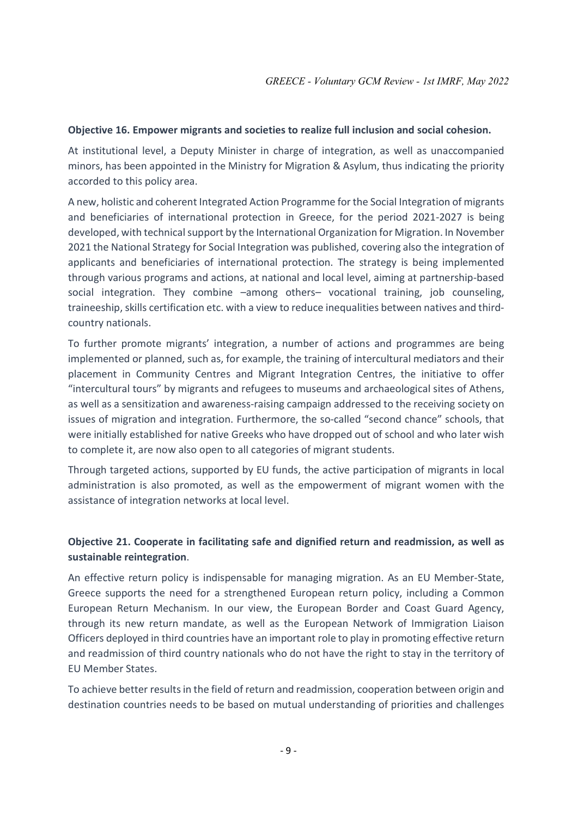#### Objective 16. Empower migrants and societies to realize full inclusion and social cohesion.

At institutional level, a Deputy Minister in charge of integration, as well as unaccompanied minors, has been appointed in the Ministry for Migration & Asylum, thus indicating the priority accorded to this policy area.

A new, holistic and coherent Integrated Action Programme for the Social Integration of migrants and beneficiaries of international protection in Greece, for the period 2021-2027 is being developed, with technical support by the International Organization for Migration. In November 2021 the National Strategy for Social Integration was published, covering also the integration of applicants and beneficiaries of international protection. The strategy is being implemented through various programs and actions, at national and local level, aiming at partnership-based social integration. They combine –among others– vocational training, job counseling, traineeship, skills certification etc. with a view to reduce inequalities between natives and thirdcountry nationals.

To further promote migrants' integration, a number of actions and programmes are being implemented or planned, such as, for example, the training of intercultural mediators and their placement in Community Centres and Migrant Integration Centres, the initiative to offer "intercultural tours" by migrants and refugees to museums and archaeological sites of Athens, as well as a sensitization and awareness-raising campaign addressed to the receiving society on issues of migration and integration. Furthermore, the so-called "second chance" schools, that were initially established for native Greeks who have dropped out of school and who later wish to complete it, are now also open to all categories of migrant students.

Through targeted actions, supported by EU funds, the active participation of migrants in local administration is also promoted, as well as the empowerment of migrant women with the assistance of integration networks at local level.

## Objective 21. Cooperate in facilitating safe and dignified return and readmission, as well as sustainable reintegration.

An effective return policy is indispensable for managing migration. As an EU Member-State, Greece supports the need for a strengthened European return policy, including a Common European Return Mechanism. In our view, the European Border and Coast Guard Agency, through its new return mandate, as well as the European Network of Immigration Liaison Officers deployed in third countries have an important role to play in promoting effective return and readmission of third country nationals who do not have the right to stay in the territory of EU Member States.

To achieve better results in the field of return and readmission, cooperation between origin and destination countries needs to be based on mutual understanding of priorities and challenges